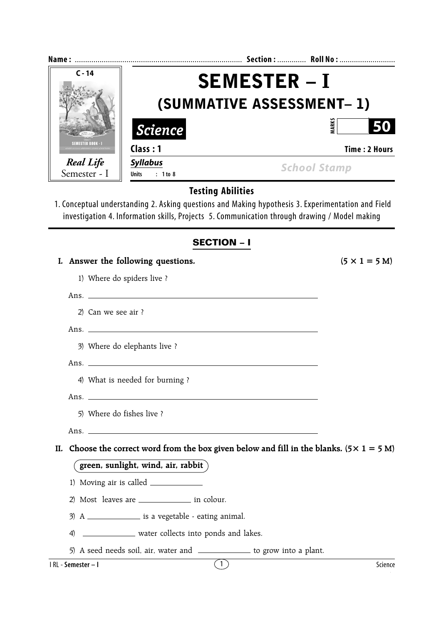| $C - 14$                         | <b>SEMESTER – I</b><br>(SUMMATIVE ASSESSMENT- 1) |                                                                                                                                                                                                     |                      |  |  |
|----------------------------------|--------------------------------------------------|-----------------------------------------------------------------------------------------------------------------------------------------------------------------------------------------------------|----------------------|--|--|
|                                  |                                                  |                                                                                                                                                                                                     |                      |  |  |
|                                  | <b>SEMESTER BOOK - I</b>                         | Class: 1                                                                                                                                                                                            | <b>Time: 2 Hours</b> |  |  |
| <b>Real Life</b><br>Semester - I | <b>Syllabus</b><br>$: 1$ to 8<br><b>Units</b>    | <b>School Stamp</b>                                                                                                                                                                                 |                      |  |  |
|                                  |                                                  | <b>Testing Abilities</b>                                                                                                                                                                            |                      |  |  |
|                                  |                                                  | 1. Conceptual understanding 2. Asking questions and Making hypothesis 3. Experimentation and Field<br>investigation 4. Information skills, Projects 5. Communication through drawing / Model making |                      |  |  |
|                                  |                                                  | <b>SECTION - I</b>                                                                                                                                                                                  |                      |  |  |
|                                  | I. Answer the following questions.               | $(5 \times 1 = 5 M)$                                                                                                                                                                                |                      |  |  |
|                                  | 1) Where do spiders live?                        |                                                                                                                                                                                                     |                      |  |  |
|                                  |                                                  |                                                                                                                                                                                                     |                      |  |  |
| 2) Can we see air ?              |                                                  |                                                                                                                                                                                                     |                      |  |  |
|                                  |                                                  |                                                                                                                                                                                                     |                      |  |  |
|                                  | 3) Where do elephants live ?                     |                                                                                                                                                                                                     |                      |  |  |

Ans.

4) What is needed for burning ?

Ans.

- 5) Where do fishes live ?
- Ans.

II. Choose the correct word from the box given below and fill in the blanks.  $(5 \times 1 = 5 \text{ M})$ 

## **green, sunlight, wind, air, rabbit**

- 1) Moving air is called
- 2) Most leaves are in colour.
- $3)$  A  $\_\_\_\_\_\_\_\_\$  is a vegetable eating animal.
- 4) \_\_\_\_\_\_\_\_\_\_\_\_\_\_ water collects into ponds and lakes.
- 5) A seed needs soil, air, water and \_\_\_\_\_\_\_\_\_\_\_\_\_ to grow into a plant.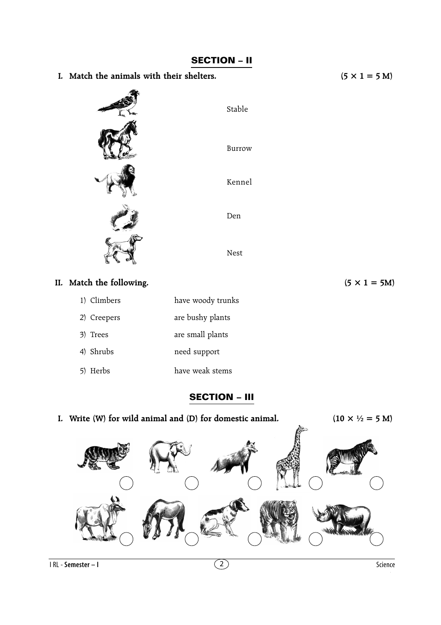

**SECTION – II**

| 1) Climbers | nave woody truni |
|-------------|------------------|
| 2) Creepers | are bushy plants |
| 3) Trees    | are small plants |
| 4) Shrubs   | need support     |
| 5) Herbs    | have weak stems  |

**SECTION – III**

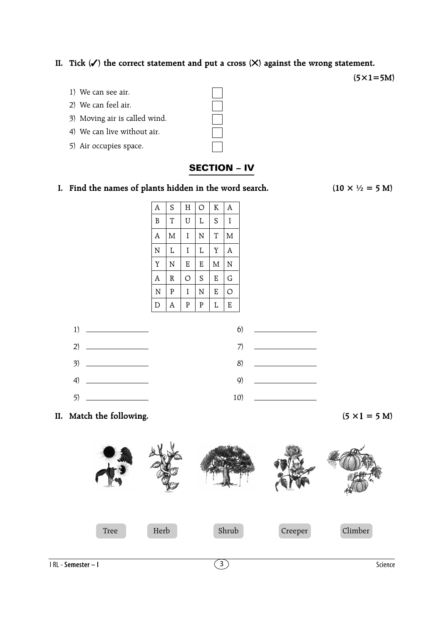## **II. Tick (**✓**) the correct statement and put a cross (**✕**) against the wrong statement.**

**(5×1=5M)**

- 1) We can see air.
- 2) We can feel air.
- 3) Moving air is called wind.
- 4) We can live without air.
- 5) Air occupies space.

## **SECTION – IV**

**I. Find the names of plants hidden in the word search.** (10  $\times$   $\frac{1}{2}$  = 5 M)

| A | S | H | O              | $\rm K$ | A |
|---|---|---|----------------|---------|---|
| B | T | Ū | L              | S       | I |
| A | M | I | N              | T       | M |
| N | L | I | L              | Y       | A |
| Y | N | E | E              | M       | N |
| A | R | O | S              | E       | G |
| N | P | I | N              | E       | O |
| D | A | P | $\overline{P}$ | L       | E |

| 1) $\qquad$ | $\bullet$ $\qquad$ |
|-------------|--------------------|
|             |                    |
|             |                    |
|             |                    |
|             |                    |

**II.** Match the following.  $(5 \times 1 = 5 \text{ M})$